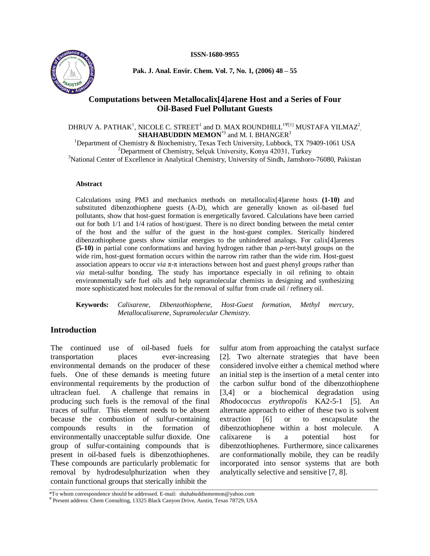#### **ISSN-1680-9955**



**Pak. J. Anal. Envir. Chem. Vol. 7, No. 1, (2006) 48 ñ 55**

# **Computations between Metallocalix[4]arene Host and a Series of Four Oil-Based Fuel Pollutant Guests**

DHRUV A. PATHAK $^{\rm l}$ , NICOLE C. STREET $^{\rm l}$  and D. MAX ROUNDHILL  $^{\rm l}\rm{ }^{\rm l}\rm{ }^{\rm l}\rm{ }^{\rm l}$  MUSTAFA YILMAZ $^{\rm 2}$  $\mathbf{SHAHABUDDIN}\ \mathbf{MEMON}^{*3}$  and M. I.  $\mathbf{BHANGER}^{3}$ <sup>1</sup>Department of Chemistry & Biochemistry, Texas Tech University, Lubbock, TX 79409-1061 USA

<sup>2</sup>Department of Chemistry, Selçuk University, Konya 42031, Turkey <sup>3</sup>National Center of Excellence in Analytical Chemistry, University of Sindh, Jamshoro-76080, Pakistan

#### **Abstract**

Calculations using PM3 and mechanics methods on metallocalix[4]arene hosts **(1-10)** and substituted dibenzothiophene guests (A-D), which are generally known as oil-based fuel pollutants, show that host-guest formation is energetically favored. Calculations have been carried out for both 1/1 and 1/4 ratios of host/guest. There is no direct bonding between the metal center of the host and the sulfur of the guest in the host-guest complex. Sterically hindered dibenzothiophene guests show similar energies to the unhindered analogs. For calix[4]arenes **(5-10)** in partial cone conformations and having hydrogen rather than *p*-*tert*-butyl groups on the wide rim, host-guest formation occurs within the narrow rim rather than the wide rim. Host-guest association appears to occur *via*  $\pi$ - $\pi$  interactions between host and guest phenyl groups rather than *via* metal-sulfur bonding. The study has importance especially in oil refining to obtain environmentally safe fuel oils and help supramolecular chemists in designing and synthesizing more sophisticated host molecules for the removal of sulfur from crude oil / refinery oil.

**Keywords:** *Calixarene, Dibenzothiophene, Host-Guest formation, Methyl mercury, Metallocalixarene, Supramolecular Chemistry.*

# **Introduction**

The continued use of oil-based fuels for transportation places ever-increasing environmental demands on the producer of these fuels. One of these demands is meeting future environmental requirements by the production of ultraclean fuel. A challenge that remains in producing such fuels is the removal of the final traces of sulfur. This element needs to be absent because the combustion of sulfur-containing compounds results in the formation of environmentally unacceptable sulfur dioxide. One group of sulfur-containing compounds that is present in oil-based fuels is dibenzothiophenes. These compounds are particularly problematic for removal by hydrodesulphurization when they contain functional groups that sterically inhibit the \_\_\_\_\_\_\_\_\_\_\_\_\_\_\_\_\_\_\_\_\_\_\_\_\_\_\_\_\_\_\_\_\_\_\_\_\_\_\_\_\_\_\_\_\_\_\_\_\_\_\_\_\_\_\_\_\_\_\_\_\_\_\_\_\_\_\_\_\_\_\_\_\_\_\_\_\_\_\_\_\_\_\_\_\_\_\_\_\_\_\_\_\_\_\_\_\_\_\_\_\_\_\_\_\_\_\_\_\_\_\_\_\_\_\_\_\_

sulfur atom from approaching the catalyst surface [2]. Two alternate strategies that have been considered involve either a chemical method where an initial step is the insertion of a metal center into the carbon sulfur bond of the dibenzothiophene [3,4] or a biochemical degradation using *Rhodococcus erythropolis* KA2-5-1 [5]. An alternate approach to either of these two is solvent  $[6]$  or to encapsulate the dibenzothiophene within a host molecule. A calixarene is a potential host for dibenzothiophenes. Furthermore, since calixarenes are conformationally mobile, they can be readily incorporated into sensor systems that are both analytically selective and sensitive [7, 8].

<sup>\*</sup>To whom correspondence should be addressed. E-mail: [shahabuddinmemon@yahoo.com](mailto:shahabuddinmemon@yahoo.com)

<sup>ÿ</sup> Present address: Chem Consulting, 13325 Black Canyon Drive, Austin, Texas 78729, USA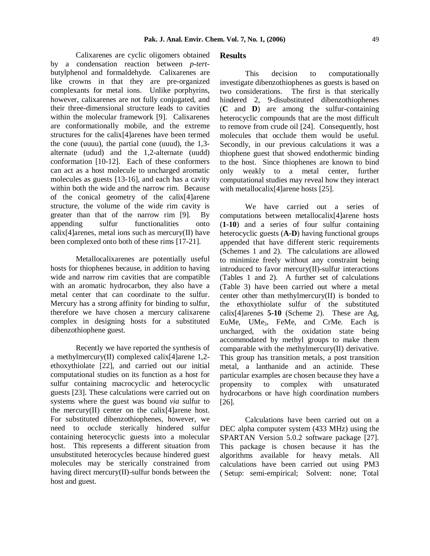Calixarenes are cyclic oligomers obtained by a condensation reaction between *p-tert* butylphenol and formaldehyde. Calixarenes are like crowns in that they are pre-organized complexants for metal ions. Unlike porphyrins, however, calixarenes are not fully conjugated, and their three-dimensional structure leads to cavities within the molecular framework [9]. Calixarenes are conformationally mobile, and the extreme structures for the calix[4]arenes have been termed the cone (uuuu), the partial cone (uuud), the 1,3 alternate (udud) and the 1,2-alternate (uudd) conformation [10-12]. Each of these conformers can act as a host molecule to uncharged aromatic molecules as guests [13-16], and each has a cavity within both the wide and the narrow rim. Because of the conical geometry of the calix[4]arene structure, the volume of the wide rim cavity is greater than that of the narrow rim [9]. By appending sulfur functionalities onto calix<sup>[4]</sup>arenes, metal ions such as mercury $(II)$  have been complexed onto both of these rims [17-21].

Metallocalixarenes are potentially useful hosts for thiophenes because, in addition to having wide and narrow rim cavities that are compatible with an aromatic hydrocarbon, they also have a metal center that can coordinate to the sulfur. Mercury has a strong affinity for binding to sulfur, therefore we have chosen a mercury calixarene complex in designing hosts for a substituted dibenzothiophene guest.

Recently we have reported the synthesis of a methylmercury(II) complexed calix[4]arene 1,2 ethoxythiolate [22], and carried out our initial computational studies on its function as a host for sulfur containing macrocyclic and heterocyclic guests [23]. These calculations were carried out on systems where the guest was bound *via* sulfur to the mercury $(II)$  center on the calix $[4]$ arene host. For substituted dibenzothiophenes, however, we need to occlude sterically hindered sulfur containing heterocyclic guests into a molecular host. This represents a different situation from unsubstituted heterocycles because hindered guest molecules may be sterically constrained from having direct mercury(II)-sulfur bonds between the host and guest.

## **Results**

This decision to computationally investigate dibenzothiophenes as guests is based on two considerations. The first is that sterically hindered 2, 9-disubstituted dibenzothiophenes (**C** and **D**) are among the sulfur-containing heterocyclic compounds that are the most difficult to remove from crude oil [24]. Consequently, host molecules that occlude them would be useful. Secondly, in our previous calculations it was a thiophene guest that showed endothermic binding to the host. Since thiophenes are known to bind weakly to a metal center, further computational studies may reveal how they interact with metallocalix<sup>[4]</sup>arene hosts [25].

We have carried out a series of computations between metallocalix[4]arene hosts (**1-10**) and a series of four sulfur containing heterocyclic guests (**A-D**) having functional groups appended that have different steric requirements (Schemes 1 and 2). The calculations are allowed to minimize freely without any constraint being introduced to favor mercury(II)-sulfur interactions (Tables 1 and 2). A further set of calculations (Table 3) have been carried out where a metal center other than methylmercury(II) is bonded to the ethoxythiolate sulfur of the substituted calix[4]arenes **5-10** (Scheme 2). These are Ag, EuMe, UMe3, FeMe, and CrMe. Each is uncharged, with the oxidation state being accommodated by methyl groups to make them comparable with the methylmercury(II) derivative. This group has transition metals, a post transition metal, a lanthanide and an actinide. These particular examples are chosen because they have a propensity to complex with unsaturated hydrocarbons or have high coordination numbers [26].

Calculations have been carried out on a DEC alpha computer system (433 MHz) using the SPARTAN Version 5.0.2 software package [27]. This package is chosen because it has the algorithms available for heavy metals. All calculations have been carried out using PM3 ( Setup: semi-empirical; Solvent: none; Total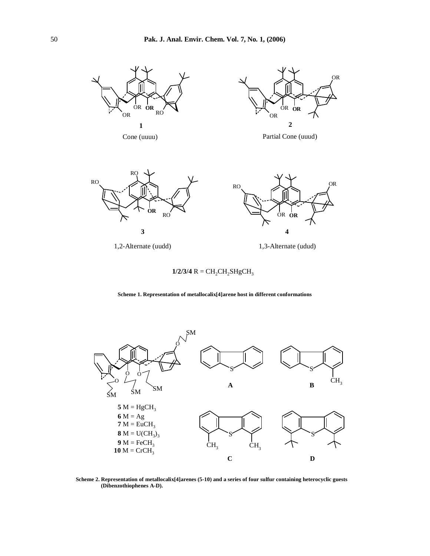

**1/2/3/4**  $R = CH_2CH_2SHgCH_3$ 

**Scheme 1. Representation of metallocalix[4]arene host in different conformations**



**Scheme 2. Representation of metallocalix[4]arenes (5-10) and a series of four sulfur containing heterocyclic guests (Dibenzothiophenes A-D).**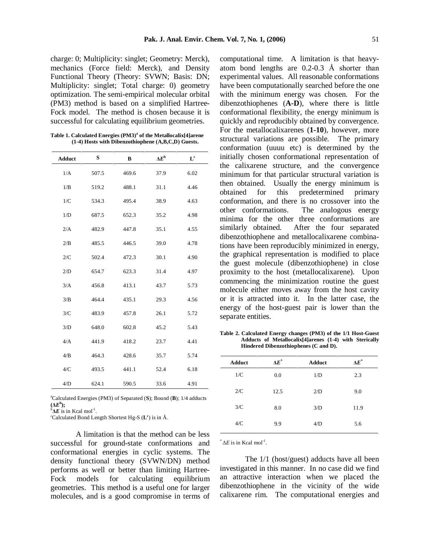charge: 0; Multiplicity: singlet; Geometry: Merck), mechanics (Force field: Merck), and Density Functional Theory (Theory: SVWN; Basis: DN; Multiplicity: singlet; Total charge: 0) geometry optimization. The semi-empirical molecular orbital (PM3) method is based on a simplified Hartree- Fock model. The method is chosen because it is successful for calculating equilibrium geometries.

**Table 1. Calculated Energies (PM3) <sup>a</sup> of the Metallocalix[4]arene (1-4) Hosts with Dibenzothiophene (A,B,C,D) Guests.**

| <b>Adduct</b> | S     | $\bf{B}$ | $\Delta E^{\rm b}$ | $L^{c}$ |
|---------------|-------|----------|--------------------|---------|
| 1/A           | 507.5 | 469.6    | 37.9               | 6.02    |
| 1/B           | 519.2 | 488.1    | 31.1               | 4.46    |
| 1/C           | 534.3 | 495.4    | 38.9               | 4.63    |
| 1/D           | 687.5 | 652.3    | 35.2               | 4.98    |
| 2/A           | 482.9 | 447.8    | 35.1               | 4.55    |
| 2/B           | 485.5 | 446.5    | 39.0               | 4.78    |
| 2/C           | 502.4 | 472.3    | 30.1               | 4.90    |
| 2/D           | 654.7 | 623.3    | 31.4               | 4.97    |
| 3/A           | 456.8 | 413.1    | 43.7               | 5.73    |
| 3/B           | 464.4 | 435.1    | 29.3               | 4.56    |
| 3/C           | 483.9 | 457.8    | 26.1               | 5.72    |
| 3/D           | 648.0 | 602.8    | 45.2               | 5.43    |
| 4/A           | 441.9 | 418.2    | 23.7               | 4.41    |
| 4/B           | 464.3 | 428.6    | 35.7               | 5.74    |
| 4/C           | 493.5 | 441.1    | 52.4               | 6.18    |
| 4/D           | 624.1 | 590.5    | 33.6               |         |

<sup>a</sup>Calculated Energies (PM3) of Separated (**S**); Bound (**B**); 1/4 adducts  $(\Delta E^b)$ ;

 ${}^b$ **AE** is in Kcal mol<sup>-1</sup>.

 ${}^b\mathbf{\Delta}E$  is in Kcal mol<sup>-1</sup>.<br><sup>c</sup>Calculated Bond Length Shortest Hg-S (**L**°) is in Å.

A limitation is that the method can be less successful for ground-state conformations and conformational energies in cyclic systems. The density functional theory (SVWN/DN) method performs as well or better than limiting Hartree- Fock models for calculating equilibrium geometries. This method is a useful one for larger molecules, and is a good compromise in terms of

computational time. A limitation is that heavy atom bond lengths are 0.2-0.3 Å shorter than experimental values. All reasonable conformations have been computationally searched before the one with the minimum energy was chosen. For the dibenzothiophenes (**A-D**), where there is little conformational flexibility, the energy minimum is quickly and reproducibly obtained by convergence. For the metallocalixarenes (**1-10**), however, more structural variations are possible. The primary conformation (uuuu etc) is determined by the initially chosen conformational representation of the calixarene structure, and the convergence minimum for that particular structural variation is then obtained. Usually the energy minimum is obtained for this predetermined primary conformation, and there is no crossover into the other conformations. The analogous energy minima for the other three conformations are similarly obtained. After the four separated dibenzothiophene and metallocalixarene combinations have been reproducibly minimized in energy, the graphical representation is modified to place the guest molecule (dibenzothiophene) in close proximity to the host (metallocalixarene). Upon commencing the minimization routine the guest molecule either moves away from the host cavity or it is attracted into it. In the latter case, the energy of the host-guest pair is lower than the separate entities.

**Table 2. Calculated Energy changes (PM3) of the 1/1 Host-Guest Adducts of Metallocalix[4]arenes (1-4) with Sterically Hindered Dibenzothiophenes (C and D).**

 $*^{\ast} \Delta E$  is in Kcal mol<sup>-1</sup>.

The 1/1 (host/guest) adducts have all been investigated in this manner. In no case did we find an attractive interaction when we placed the dibenzothiophene in the vicinity of the wide calixarene rim. The computational energies and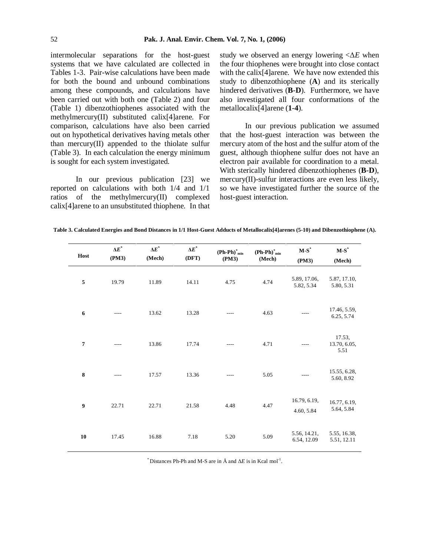intermolecular separations for the host-guest systems that we have calculated are collected in Tables 1-3. Pair-wise calculations have been made for both the bound and unbound combinations among these compounds, and calculations have been carried out with both one (Table 2) and four (Table 1) dibenzothiophenes associated with the methylmercury(II) substituted calix[4]arene. For comparison, calculations have also been carried out on hypothetical derivatives having metals other than mercury(II) appended to the thiolate sulfur (Table 3). In each calculation the energy minimum is sought for each system investigated.

In our previous publication [23] we reported on calculations with both 1/4 and 1/1 ratios of the methylmercury(II) complexed calix[4]arene to an unsubstituted thiophene. In that study we observed an energy lowering  $\angle \Delta E$  when the four thiophenes were brought into close contact with the calix<sup>[4]</sup>arene. We have now extended this study to dibenzothiophene (**A**) and its sterically hindered derivatives (**B**-**D**). Furthermore, we have also investigated all four conformations of the metallocalix[4]arene (**1**-**4**).

In our previous publication we assumed that the host-guest interaction was between the mercury atom of the host and the sulfur atom of the guest, although thiophene sulfur does not have an electron pair available for coordination to a metal. With sterically hindered dibenzothiophenes (**B**-**D**), mercury(II)-sulfur interactions are even less likely, so we have investigated further the source of the host-guest interaction.

Table 3. Calculated Energies and Bond Distances in 1/1 Host-Guest Adducts of Metallocalix[4] arenes (5-10) and Dibenzothiophene (A).

| Host             | $\Delta \boldsymbol{E}^*$<br>(PM3) | $\Delta \boldsymbol{E}^*$<br>(Mech) | $\Delta \boldsymbol{E}^*$<br>(DFT) | $\mathbf{(Ph\text{-}Ph)}^*_{\min}$<br>(PM3) | $(Ph-Ph)^*_{min}$<br>(Mech) | $\mathbf{M}\text{-}\mathbf{S}^*$<br>(PM3) | $\mathbf{M}\text{-}\mathbf{S}^*$<br>(Mech) |
|------------------|------------------------------------|-------------------------------------|------------------------------------|---------------------------------------------|-----------------------------|-------------------------------------------|--------------------------------------------|
| 5                | 19.79                              | 11.89                               | 14.11                              | 4.75                                        | 4.74                        | 5.89, 17.06,<br>5.82, 5.34                | 5.87, 17.10,<br>5.80, 5.31                 |
| $\boldsymbol{6}$ |                                    | 13.62                               | 13.28                              |                                             | 4.63                        |                                           | 17.46, 5.59,<br>6.25, 5.74                 |
| $\overline{7}$   | $- - - -$                          | 13.86                               | 17.74                              |                                             | 4.71                        |                                           | 17.53,<br>13.70, 6.05,<br>5.51             |
| $\bf 8$          | ----                               | 17.57                               | 13.36                              |                                             | 5.05                        |                                           | 15.55, 6.28,<br>5.60, 8.92                 |
| 9                | 22.71                              | 22.71                               | 21.58                              | 4.48                                        | 4.47                        | 16.79, 6.19,<br>4.60, 5.84                | 16.77, 6.19,<br>5.64, 5.84                 |
| 10               | 17.45                              | 16.88                               | 7.18                               | 5.20                                        | 5.09                        | 5.56, 14.21,<br>6.54, 12.09               | 5.55, 16.38,<br>5.51, 12.11                |

 $*$  Distances Ph-Ph and M-S are in Å and  $\Delta E$  is in Kcal mol<sup>-1</sup>.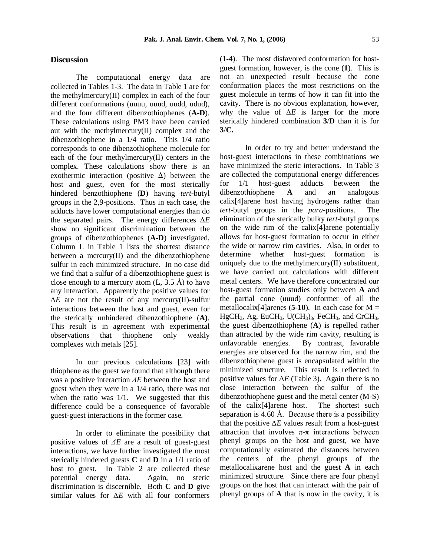## **Discussion**

The computational energy data are collected in Tables 1-3. The data in Table 1 are for the methylmercury(II) complex in each of the four different conformations (uuuu, uuud, uudd, udud), and the four different dibenzothiophenes (**A-D**). These calculations using PM3 have been carried out with the methylmercury(II) complex and the dibenzothiophene in a 1/4 ratio. This 1/4 ratio corresponds to one dibenzothiophene molecule for each of the four methylmercury(II) centers in the complex. These calculations show there is an exothermic interaction (positive  $\Delta$ ) between the host and guest, even for the most sterically for hindered benzothiophene (**D**) having *tert*-butyl groups in the 2,9-positions. Thus in each case, the adducts have lower computational energies than do the separated pairs. The energy differences  $\Delta E$ show no significant discrimination between the groups of dibenzothiophenes (**A-D**) investigated. Column L in Table 1 lists the shortest distance between a mercury(II) and the dibenzothiophene sulfur in each minimized structure. In no case did we find that a sulfur of a dibenzothiophene guest is close enough to a mercury atom  $(L, 3.5 \text{ Å})$  to have any interaction. Apparently the positive values for  $\Delta E$  are not the result of any mercury(II)-sulfur interactions between the host and guest, even for the sterically unhindered dibenzothiophene (**A)**. This result is in agreement with experimental observations that thiophene only weakly than attracted by the w<br>complexes with metals [25] unfavorable energies. complexes with metals [25].

In our previous calculations [23] with thiophene as the guest we found that although there was a positive interaction *AE* between the host and guest when they were in a 1/4 ratio, there was not when the ratio was  $1/1$ . We suggested that this difference could be a consequence of favorable guest-guest interactions in the former case.

In order to eliminate the possibility that positive values of  $\Delta E$  are a result of guest-guest interactions, we have further investigated the most sterically hindered guests **C** and **D** in a 1/1 ratio of host to guest. In Table 2 are collected these potential energy data. Again, no steric discrimination is discernible. Both **C** and **D** give similar values for  $\Delta E$  with all four conformers (**1-4**). The most disfavored conformation for host guest formation, however, is the cone (**1**). This is not an unexpected result because the cone conformation places the most restrictions on the guest molecule in terms of how it can fit into the cavity. There is no obvious explanation, however, why the value of  $\Delta E$  is larger for the more sterically hindered combination **3**/**D** than it is for **3**/**C.**

In order to try and better understand the host-guest interactions in these combinations we have minimized the steric interactions. In Table 3 are collected the computational energy differences  $1/1$  host-guest adducts between the dibenzothiophene **A** and an analogous calix[4]arene host having hydrogens rather than *tert*-butyl groups in the *para*-positions. The elimination of the sterically bulky *tert*-butyl groups on the wide rim of the calix[4]arene potentially allows for host-guest formation to occur in either the wide or narrow rim cavities. Also, in order to determine whether host-guest formation is uniquely due to the methylmercury(II) substituent, we have carried out calculations with different metal centers. We have therefore concentrated our host-guest formation studies only between **A** and the partial cone (uuud) conformer of all the metallocalix<sup>[4]</sup>arenes (5-10). In each case for  $M =$  $HgCH<sub>3</sub>$ , Ag, EuCH<sub>3</sub>, U(CH<sub>3</sub>)<sub>3</sub>, FeCH<sub>3</sub>, and CrCH<sub>3</sub>, the guest dibenzothiophene (**A**) is repelled rather than attracted by the wide rim cavity, resulting is By contrast, favorable energies are observed for the narrow rim, and the dibenzothiophene guest is encapsulated within the minimized structure. This result is reflected in positive values for  $\Delta E$  (Table 3). Again there is no close interaction between the sulfur of the dibenzothiophene guest and the metal center  $(M-S)$ <br>of the calix[4]arene host. The shortest such of the calix $[4]$ arene host. separation is 4.60 Å. Because there is a possibility that the positive  $\Delta E$  values result from a host-guest attraction that involves  $\pi$ - $\pi$  interactions between phenyl groups on the host and guest, we have computationally estimated the distances between the centers of the phenyl groups of the metallocalixarene host and the guest **A** in each minimized structure. Since there are four phenyl groups on the host that can interact with the pair of phenyl groups of **A** that is now in the cavity, it is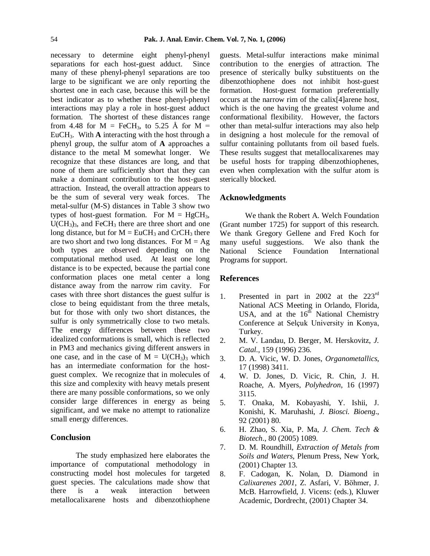necessary to determine eight phenyl-phenyl separations for each host-guest adduct. Since many of these phenyl-phenyl separations are too large to be significant we are only reporting the shortest one in each case, because this will be the formation. best indicator as to whether these phenyl-phenyl interactions may play a role in host-guest adduct formation. The shortest of these distances range from 4.48 for  $M = FeCH_3$ , to 5.25 Å for  $M =$ EuCH3. With **A** interacting with the host through a phenyl group, the sulfur atom of **A** approaches a distance to the metal M somewhat longer. We recognize that these distances are long, and that none of them are sufficiently short that they can make a dominant contribution to the host-guest attraction. Instead, the overall attraction appears to be the sum of several very weak forces. The metal-sulfur (M-S) distances in Table 3 show two types of host-guest formation. For  $M = HgCH_3$ ,  $U(CH<sub>3</sub>)<sub>3</sub>$ , and FeCH<sub>3</sub> there are three short and one long distance, but for  $M = EuCH_3$  and CrCH<sub>3</sub> there are two short and two long distances. For  $M = Ag$ both types are observed depending on the National computational method used. At least one long distance is to be expected, because the partial cone conformation places one metal center a long distance away from the narrow rim cavity. For cases with three short distances the guest sulfur is close to being equidistant from the three metals, but for those with only two short distances, the sulfur is only symmetrically close to two metals. The energy differences between these two idealized conformations is small, which is reflected in PM3 and mechanics giving different answers in one case, and in the case of  $M = U(CH_3)_3$  which 3. has an intermediate conformation for the host guest complex. We recognize that in molecules of this size and complexity with heavy metals present there are many possible conformations, so we only consider large differences in energy as being significant, and we make no attempt to rationalize small energy differences.

## **Conclusion**

The study emphasized here elaborates the importance of computational methodology in constructing model host molecules for targeted 8. guest species. The calculations made show that there is a weak interaction between metallocalixarene hosts and dibenzothiophene

guests. Metal-sulfur interactions make minimal contribution to the energies of attraction. The presence of sterically bulky substituents on the dibenzothiophene does not inhibit host-guest formation. Host-guest formation preferentially occurs at the narrow rim of the calix[4]arene host, which is the one having the greatest volume and conformational flexibility. However, the factors other than metal-sulfur interactions may also help in designing a host molecule for the removal of sulfur containing pollutants from oil based fuels. These results suggest that metallocalixarenes may be useful hosts for trapping dibenzothiophenes, even when complexation with the sulfur atom is sterically blocked.

#### **Acknowledgments**

We thank the Robert A. Welch Foundation (Grant number 1725) for support of this research. We thank Gregory Gellene and Fred Koch for many useful suggestions. We also thank the Science Foundation International Programs for support.

#### **References**

- 1. Presented in part in 2002 at the  $223<sup>rd</sup>$ National ACS Meeting in Orlando, Florida, USA, and at the  $16^{t\overline{h}}$  National Chemistry Conference at Selçuk University in Konya, Turkey.
- 2. M. V. Landau, D. Berger, M. Herskovitz, *J. Catal*., 159 (1996) 236.
- 3. D. A. Vicic, W. D. Jones, *Organometallics*, 17 (1998) 3411.
- 4. W. D. Jones, D. Vicic, R. Chin, J. H. Roache, A. Myers, *Polyhedron*, 16 (1997) 3115.
- 5. T. Onaka, M. Kobayashi, Y. Ishii, J. Konishi, K. Maruhashi, *J. Biosci. Bioeng*., 92 (2001) 80.
- 6. H. Zhao, S. Xia, P. Ma, *J. Chem. Tech & Biotech*., 80 (2005) 1089.
- 7. D. M. Roundhill, *Extraction of Metals from Soils and Waters*, Plenum Press, New York, (2001) Chapter 13.
- 8. F. Cadogan, K. Nolan, D. Diamond in *Calixarenes 2001*, Z. Asfari, V. Bˆhmer, J. McB. Harrowfield, J. Vicens: (eds.), Kluwer Academic, Dordrecht, (2001) Chapter 34.